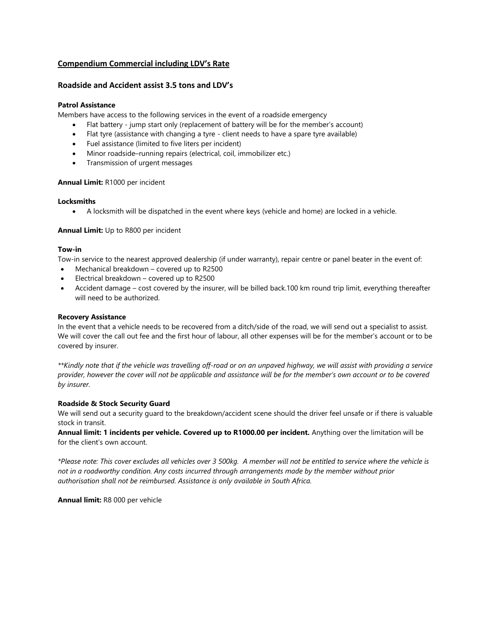# **Compendium Commercial including LDV's Rate**

## **Roadside and Accident assist 3.5 tons and LDV's**

# **Patrol Assistance**

Members have access to the following services in the event of a roadside emergency

- Flat battery jump start only (replacement of battery will be for the member's account)
- Flat tyre (assistance with changing a tyre client needs to have a spare tyre available)
- Fuel assistance (limited to five liters per incident)
- Minor roadside–running repairs (electrical, coil, immobilizer etc.)
- Transmission of urgent messages

## **Annual Limit:** R1000 per incident

#### **Locksmiths**

• A locksmith will be dispatched in the event where keys (vehicle and home) are locked in a vehicle.

## **Annual Limit:** Up to R800 per incident

#### **Tow-in**

Tow-in service to the nearest approved dealership (if under warranty), repair centre or panel beater in the event of:

- Mechanical breakdown covered up to R2500
- Electrical breakdown covered up to R2500
- Accident damage cost covered by the insurer, will be billed back.100 km round trip limit, everything thereafter will need to be authorized.

#### **Recovery Assistance**

In the event that a vehicle needs to be recovered from a ditch/side of the road, we will send out a specialist to assist. We will cover the call out fee and the first hour of labour, all other expenses will be for the member's account or to be covered by insurer.

*\*\*Kindly note that if the vehicle was travelling off-road or on an unpaved highway, we will assist with providing a service provider, however the cover will not be applicable and assistance will be for the member's own account or to be covered by insurer.*

## **Roadside & Stock Security Guard**

We will send out a security guard to the breakdown/accident scene should the driver feel unsafe or if there is valuable stock in transit.

**Annual limit: 1 incidents per vehicle. Covered up to R1000.00 per incident.** Anything over the limitation will be for the client's own account.

*\*Please note: This cover excludes all vehicles over 3 500kg. A member will not be entitled to service where the vehicle is not in a roadworthy condition. Any costs incurred through arrangements made by the member without prior authorisation shall not be reimbursed. Assistance is only available in South Africa.* 

**Annual limit:** R8 000 per vehicle